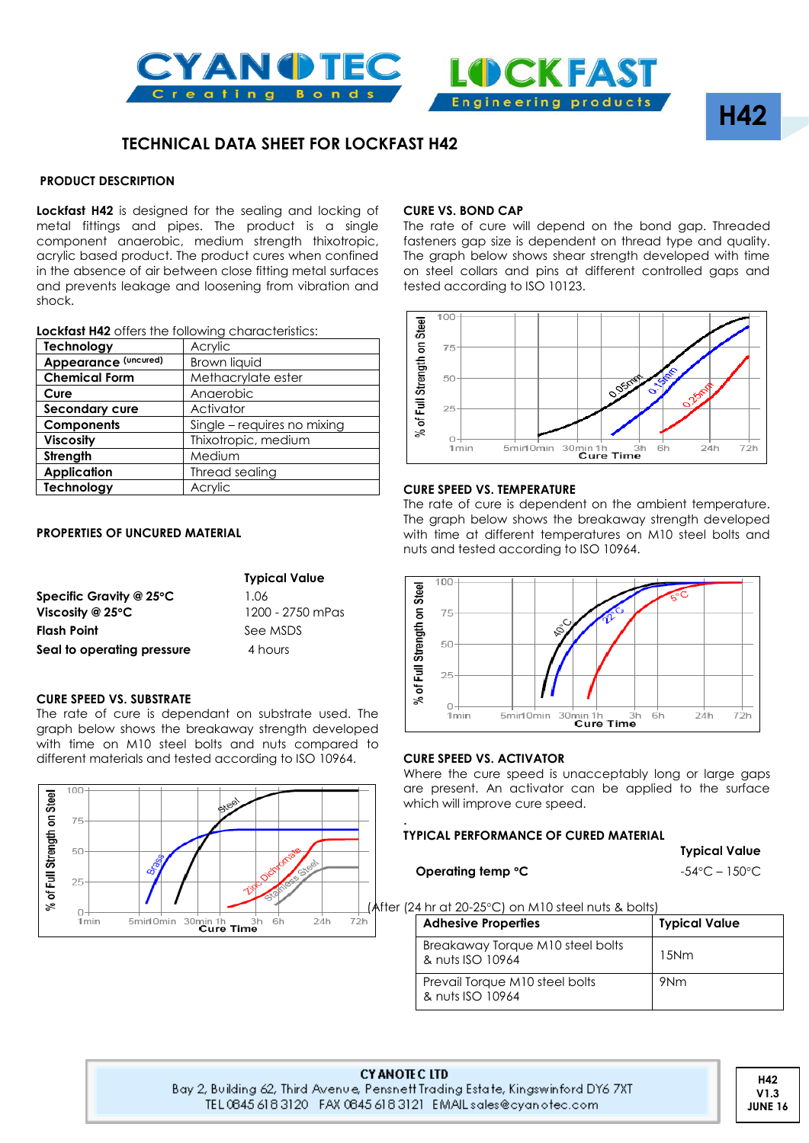



## **TECHNICAL DATA SHEET FOR LOCKFAST H42**

#### **PRODUCT DESCRIPTION**

**Lockfast H42** is designed for the sealing and locking of metal fittings and pipes. The product is a single component anaerobic, medium strength thixotropic, acrylic based product. The product cures when confined in the absence of air between close fitting metal surfaces and prevents leakage and loosening from vibration and shock.

|  |  | <b>Lockfast H42</b> offers the following characteristics: |
|--|--|-----------------------------------------------------------|
|  |  |                                                           |

| Technology           | Acrylic                     |  |  |
|----------------------|-----------------------------|--|--|
| Appearance (uncured) | Brown liquid                |  |  |
| <b>Chemical Form</b> | Methacrylate ester          |  |  |
| Cure                 | Anaerobic                   |  |  |
| Secondary cure       | Activator                   |  |  |
| <b>Components</b>    | Single - requires no mixing |  |  |
| <b>Viscosity</b>     | Thixotropic, medium         |  |  |
| Strength             | Medium                      |  |  |
| <b>Application</b>   | Thread sealing              |  |  |
| Technology           | Acrylic                     |  |  |

#### **PROPERTIES OF UNCURED MATERIAL**

|                                   | <b>Typical Value</b> |
|-----------------------------------|----------------------|
| Specific Gravity @ 25 $\degree$ C | 1.06                 |
| Viscosity @ $25^{\circ}$ C        | 1200 - 2750 mPas     |
| <b>Flash Point</b>                | See MSDS             |
| Seal to operating pressure        | 4 hours              |

#### **CURE SPEED VS. SUBSTRATE**

The rate of cure is dependant on substrate used. The graph below shows the breakaway strength developed with time on M10 steel bolts and nuts compared to different materials and tested according to ISO 10964.



#### **CURE VS. BOND CAP**

The rate of cure will depend on the bond gap. Threaded fasteners gap size is dependent on thread type and quality. The graph below shows shear strength developed with time on steel collars and pins at different controlled gaps and tested according to ISO 10123.



#### **CURE SPEED VS. TEMPERATURE**

The rate of cure is dependent on the ambient temperature. The graph below shows the breakaway strength developed with time at different temperatures on M10 steel bolts and nuts and tested according to ISO 10964.



#### **CURE SPEED VS. ACTIVATOR**

Where the cure speed is unacceptably long or large gaps are present. An activator can be applied to the surface which will improve cure speed.

#### **TYPICAL PERFORMANCE OF CURED MATERIAL**

**Operating temp <sup>o</sup>C**  $-54^{\circ}$ C – 150<sup>o</sup>C

**Typical Value**

**H42**

**4R4**

After (24 hr at 20-25°C) on M10 steel nuts & bolts)

| <b>Adhesive Properties</b>                           | <b>Typical Value</b> |
|------------------------------------------------------|----------------------|
| Breakaway Torque M10 steel bolts<br>& nuts ISO 10964 | 15Nm                 |
| Prevail Torque M10 steel bolts<br>& nuts ISO 10964   | 9Nm                  |

**CY ANOTE CLTD** Bay 2, Building 62, Third Avenue, Pensnett Trading Estate, Kingswinford DY6 7XT TEL 0845 618 3120 FAX 0845 618 3121 EMAIL sales@cyanotec.com

.